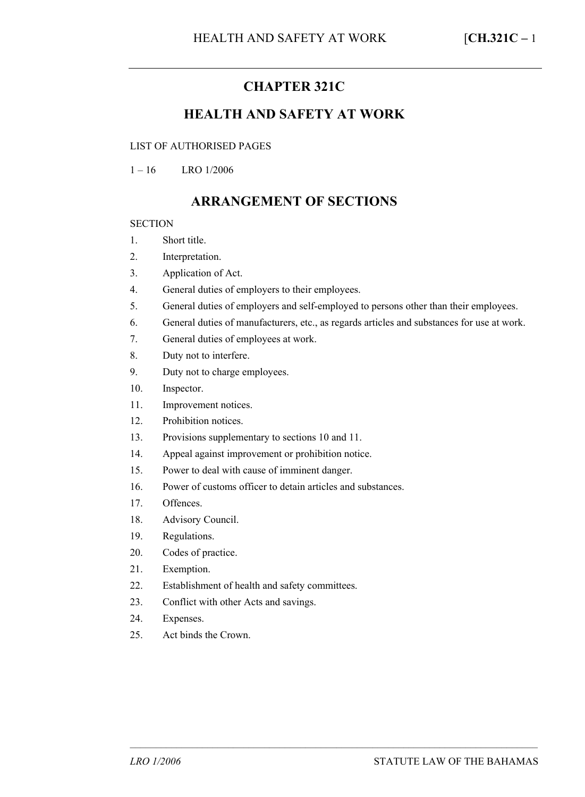# **CHAPTER 321C**

## **HEALTH AND SAFETY AT WORK**

#### LIST OF AUTHORISED PAGES

1 – 16 LRO 1/2006

### **ARRANGEMENT OF SECTIONS**

#### **SECTION**

- 1. Short title.
- 2. Interpretation.
- 3. Application of Act.
- 4. General duties of employers to their employees.
- 5. General duties of employers and self-employed to persons other than their employees.
- 6. General duties of manufacturers, etc., as regards articles and substances for use at work.

- 7. General duties of employees at work.
- 8. Duty not to interfere.
- 9. Duty not to charge employees.
- 10. Inspector.
- 11. Improvement notices.
- 12. Prohibition notices.
- 13. Provisions supplementary to sections 10 and 11.
- 14. Appeal against improvement or prohibition notice.
- 15. Power to deal with cause of imminent danger.
- 16. Power of customs officer to detain articles and substances.
- 17. Offences.
- 18. Advisory Council.
- 19. Regulations.
- 20. Codes of practice.
- 21. Exemption.
- 22. Establishment of health and safety committees.
- 23. Conflict with other Acts and savings.
- 24. Expenses.
- 25. Act binds the Crown.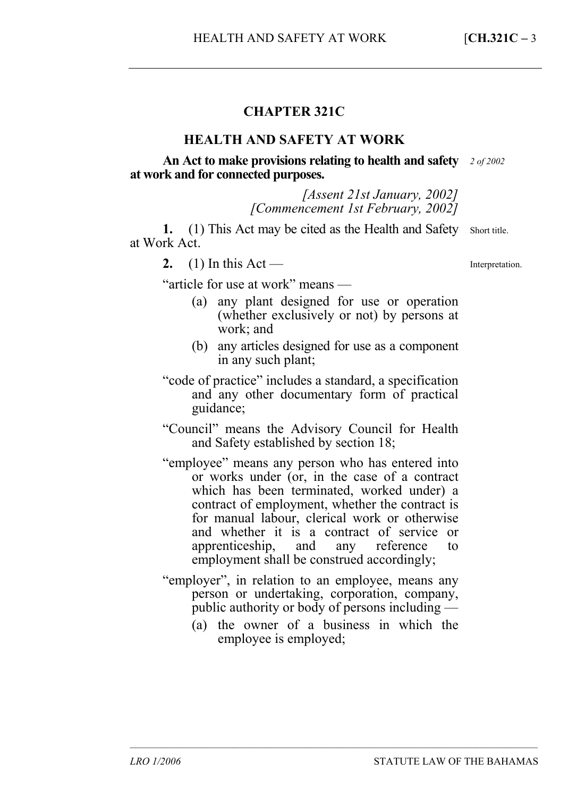## **CHAPTER 321C**

#### **HEALTH AND SAFETY AT WORK**

**An Act to make provisions relating to health and safety**  *2 of 2002*  **at work and for connected purposes.** 

> *[Assent 21st January, 2002] [Commencement 1st February, 2002]*

1. (1) This Act may be cited as the Health and Safety short title. at Work Act.

**2.** (1) In this Act —

Interpretation.

"article for use at work" means —

- (a) any plant designed for use or operation (whether exclusively or not) by persons at work; and
- (b) any articles designed for use as a component in any such plant;
- "code of practice" includes a standard, a specification and any other documentary form of practical guidance;
- "Council" means the Advisory Council for Health and Safety established by section 18;
- "employee" means any person who has entered into or works under (or, in the case of a contract which has been terminated, worked under) a contract of employment, whether the contract is for manual labour, clerical work or otherwise and whether it is a contract of service or apprenticeship, and any reference to employment shall be construed accordingly;
- "employer", in relation to an employee, means any person or undertaking, corporation, company, public authority or body of persons including —
	- (a) the owner of a business in which the employee is employed;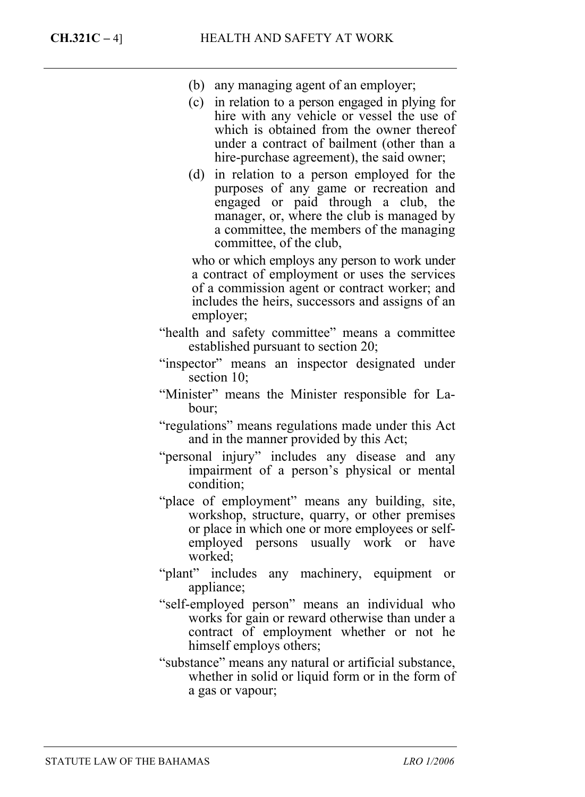- (b) any managing agent of an employer;
- (c) in relation to a person engaged in plying for hire with any vehicle or vessel the use of which is obtained from the owner thereof under a contract of bailment (other than a hire-purchase agreement), the said owner;
- (d) in relation to a person employed for the purposes of any game or recreation and engaged or paid through a club, the manager, or, where the club is managed by a committee, the members of the managing committee, of the club,

who or which employs any person to work under a contract of employment or uses the services of a commission agent or contract worker; and includes the heirs, successors and assigns of an employer;

- "health and safety committee" means a committee established pursuant to section 20;
- "inspector" means an inspector designated under section 10;
- "Minister" means the Minister responsible for Labour;
- "regulations" means regulations made under this Act and in the manner provided by this Act;
- "personal injury" includes any disease and any impairment of a person's physical or mental condition;
- "place of employment" means any building, site, workshop, structure, quarry, or other premises or place in which one or more employees or selfemployed persons usually work or have worked;
- "plant" includes any machinery, equipment or appliance;
- "self-employed person" means an individual who works for gain or reward otherwise than under a contract of employment whether or not he himself employs others;
- "substance" means any natural or artificial substance, whether in solid or liquid form or in the form of a gas or vapour;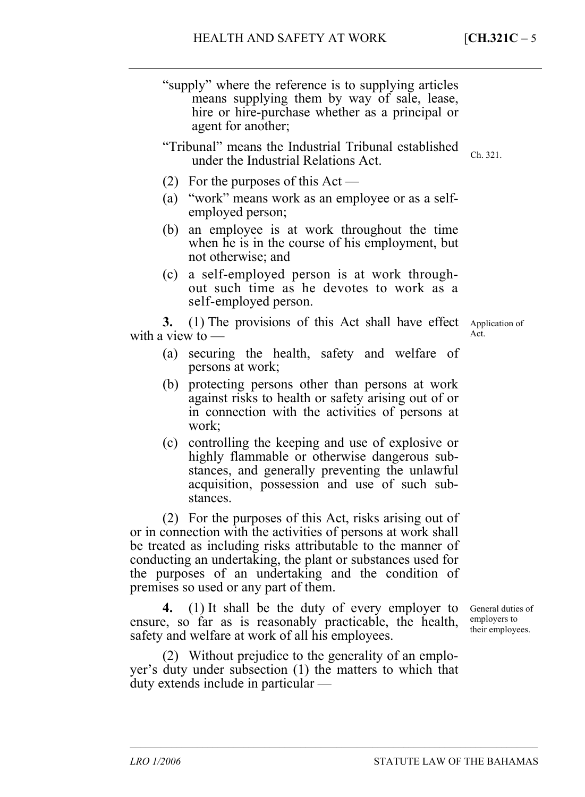- "supply" where the reference is to supplying articles means supplying them by way of sale, lease, hire or hire-purchase whether as a principal or agent for another;
- "Tribunal" means the Industrial Tribunal established under the Industrial Relations Act. Ch. 321.
- (2) For the purposes of this  $Act$  —
- (a) "work" means work as an employee or as a selfemployed person;
- (b) an employee is at work throughout the time when he is in the course of his employment, but not otherwise; and
- (c) a self-employed person is at work throughout such time as he devotes to work as a self-employed person.

**3.** (1) The provisions of this Act shall have effect Application of with a view to —

Act.

- (a) securing the health, safety and welfare of persons at work;
- (b) protecting persons other than persons at work against risks to health or safety arising out of or in connection with the activities of persons at work;
- (c) controlling the keeping and use of explosive or highly flammable or otherwise dangerous substances, and generally preventing the unlawful acquisition, possession and use of such substances.

(2) For the purposes of this Act, risks arising out of or in connection with the activities of persons at work shall be treated as including risks attributable to the manner of conducting an undertaking, the plant or substances used for the purposes of an undertaking and the condition of premises so used or any part of them.

4. (1) It shall be the duty of every employer to General duties of ensure, so far as is reasonably practicable, the health, safety and welfare at work of all his employees.

(2) Without prejudice to the generality of an employer's duty under subsection (1) the matters to which that duty extends include in particular —

–––––––––––––––––––––––––––––––––––––––––––––––––––––––––––––––––––––––––––––––

employers to their employees.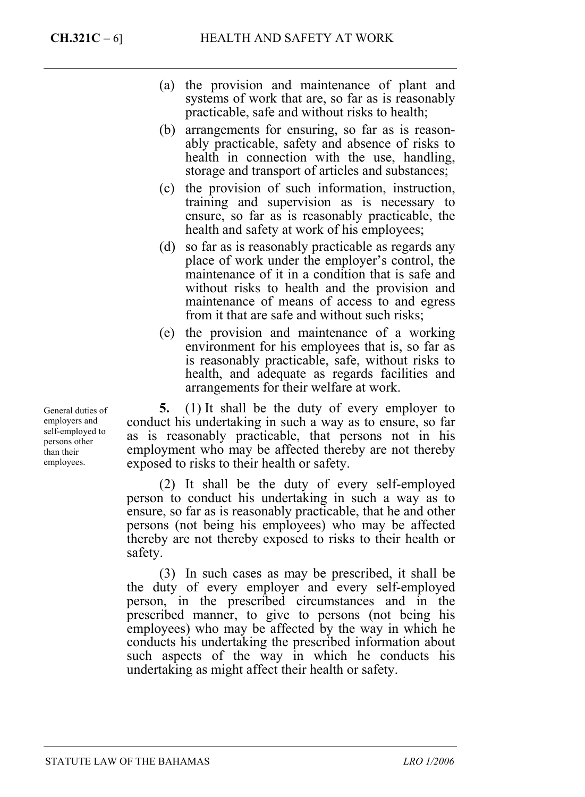- (a) the provision and maintenance of plant and systems of work that are, so far as is reasonably practicable, safe and without risks to health;
- (b) arrangements for ensuring, so far as is reasonably practicable, safety and absence of risks to health in connection with the use, handling, storage and transport of articles and substances;
- (c) the provision of such information, instruction, training and supervision as is necessary to ensure, so far as is reasonably practicable, the health and safety at work of his employees;
- (d) so far as is reasonably practicable as regards any place of work under the employer's control, the maintenance of it in a condition that is safe and without risks to health and the provision and maintenance of means of access to and egress from it that are safe and without such risks;
- (e) the provision and maintenance of a working environment for his employees that is, so far as is reasonably practicable, safe, without risks to health, and adequate as regards facilities and arrangements for their welfare at work.

**5.** (1) It shall be the duty of every employer to conduct his undertaking in such a way as to ensure, so far as is reasonably practicable, that persons not in his employment who may be affected thereby are not thereby exposed to risks to their health or safety.

(2) It shall be the duty of every self-employed person to conduct his undertaking in such a way as to ensure, so far as is reasonably practicable, that he and other persons (not being his employees) who may be affected thereby are not thereby exposed to risks to their health or safety.

(3) In such cases as may be prescribed, it shall be the duty of every employer and every self-employed person, in the prescribed circumstances and in the prescribed manner, to give to persons (not being his employees) who may be affected by the way in which he conducts his undertaking the prescribed information about such aspects of the way in which he conducts his undertaking as might affect their health or safety.

General duties of employers and self-employed to persons other than their employees.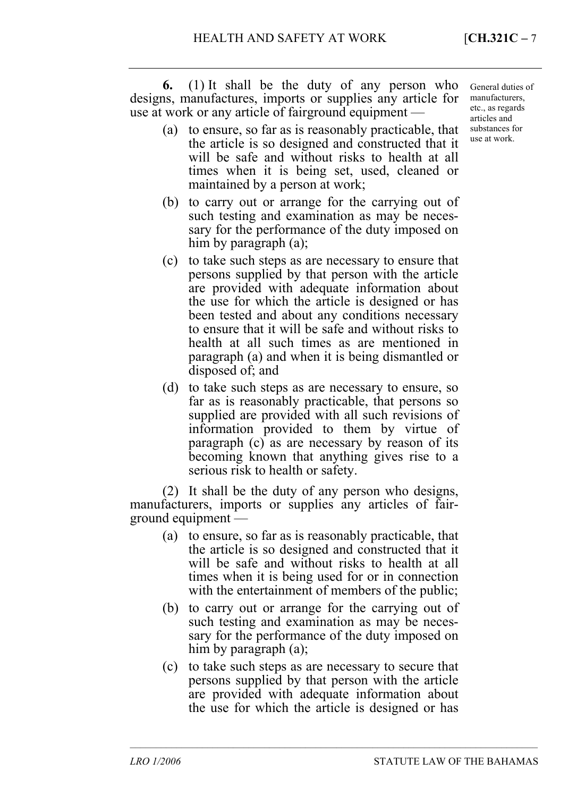**6.** (1) It shall be the duty of any person who designs, manufactures, imports or supplies any article for use at work or any article of fairground equipment —

- (a) to ensure, so far as is reasonably practicable, that the article is so designed and constructed that it will be safe and without risks to health at all times when it is being set, used, cleaned or maintained by a person at work;
- (b) to carry out or arrange for the carrying out of such testing and examination as may be necessary for the performance of the duty imposed on him by paragraph (a);
- (c) to take such steps as are necessary to ensure that persons supplied by that person with the article are provided with adequate information about the use for which the article is designed or has been tested and about any conditions necessary to ensure that it will be safe and without risks to health at all such times as are mentioned in paragraph (a) and when it is being dismantled or disposed of; and
- (d) to take such steps as are necessary to ensure, so far as is reasonably practicable, that persons so supplied are provided with all such revisions of information provided to them by virtue of paragraph (c) as are necessary by reason of its becoming known that anything gives rise to a serious risk to health or safety.

(2) It shall be the duty of any person who designs, manufacturers, imports or supplies any articles of fairground equipment —

- (a) to ensure, so far as is reasonably practicable, that the article is so designed and constructed that it will be safe and without risks to health at all times when it is being used for or in connection with the entertainment of members of the public;
- (b) to carry out or arrange for the carrying out of such testing and examination as may be necessary for the performance of the duty imposed on him by paragraph (a);
- (c) to take such steps as are necessary to secure that persons supplied by that person with the article are provided with adequate information about the use for which the article is designed or has

–––––––––––––––––––––––––––––––––––––––––––––––––––––––––––––––––––––––––––––––

General duties of manufacturers, etc., as regards articles and substances for use at work.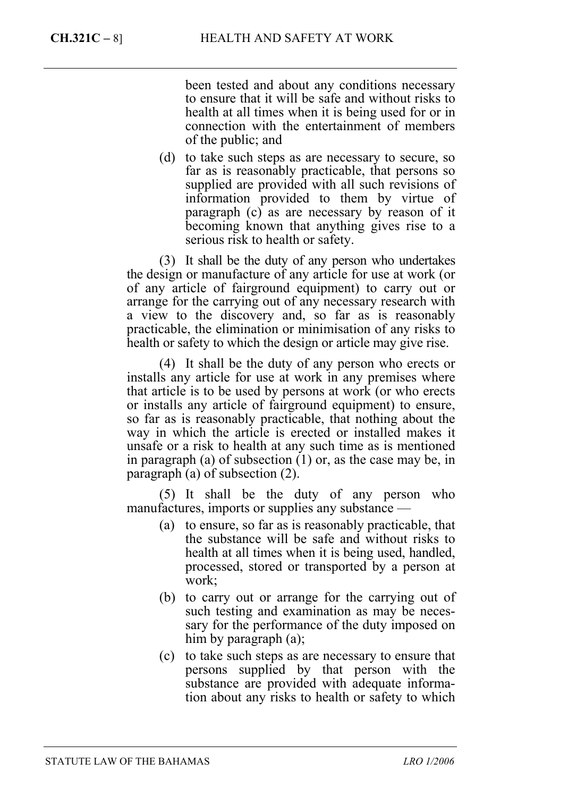been tested and about any conditions necessary to ensure that it will be safe and without risks to health at all times when it is being used for or in connection with the entertainment of members of the public; and

(d) to take such steps as are necessary to secure, so far as is reasonably practicable, that persons so supplied are provided with all such revisions of information provided to them by virtue of paragraph (c) as are necessary by reason of it becoming known that anything gives rise to a serious risk to health or safety.

(3) It shall be the duty of any person who undertakes the design or manufacture of any article for use at work (or of any article of fairground equipment) to carry out or arrange for the carrying out of any necessary research with a view to the discovery and, so far as is reasonably practicable, the elimination or minimisation of any risks to health or safety to which the design or article may give rise.

(4) It shall be the duty of any person who erects or installs any article for use at work in any premises where that article is to be used by persons at work (or who erects or installs any article of fairground equipment) to ensure, so far as is reasonably practicable, that nothing about the way in which the article is erected or installed makes it unsafe or a risk to health at any such time as is mentioned in paragraph (a) of subsection (1) or, as the case may be, in paragraph (a) of subsection (2).

(5) It shall be the duty of any person who manufactures, imports or supplies any substance —

- (a) to ensure, so far as is reasonably practicable, that the substance will be safe and without risks to health at all times when it is being used, handled, processed, stored or transported by a person at work;
- (b) to carry out or arrange for the carrying out of such testing and examination as may be necessary for the performance of the duty imposed on him by paragraph (a);
- (c) to take such steps as are necessary to ensure that persons supplied by that person with the substance are provided with adequate information about any risks to health or safety to which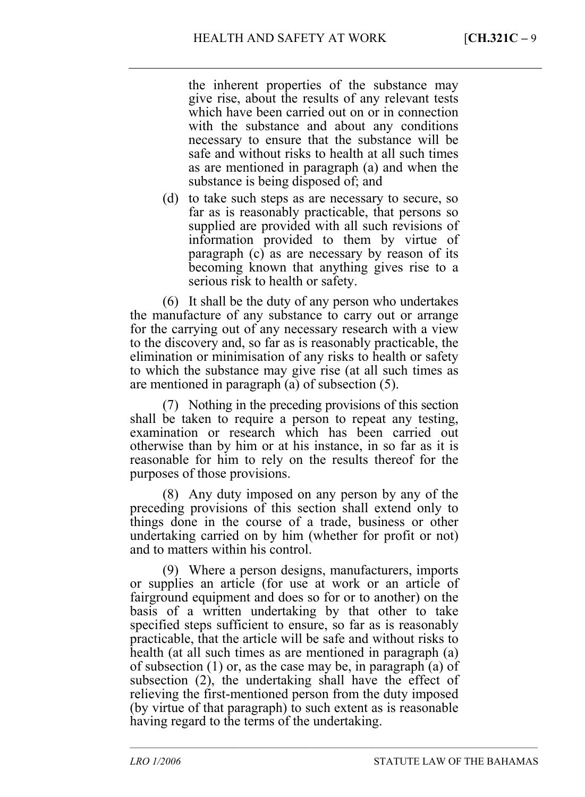the inherent properties of the substance may give rise, about the results of any relevant tests which have been carried out on or in connection with the substance and about any conditions necessary to ensure that the substance will be safe and without risks to health at all such times as are mentioned in paragraph (a) and when the substance is being disposed of; and

(d) to take such steps as are necessary to secure, so far as is reasonably practicable, that persons so supplied are provided with all such revisions of information provided to them by virtue of paragraph (c) as are necessary by reason of its becoming known that anything gives rise to a serious risk to health or safety.

(6) It shall be the duty of any person who undertakes the manufacture of any substance to carry out or arrange for the carrying out of any necessary research with a view to the discovery and, so far as is reasonably practicable, the elimination or minimisation of any risks to health or safety to which the substance may give rise (at all such times as are mentioned in paragraph (a) of subsection (5).

(7) Nothing in the preceding provisions of this section shall be taken to require a person to repeat any testing, examination or research which has been carried out otherwise than by him or at his instance, in so far as it is reasonable for him to rely on the results thereof for the purposes of those provisions.

(8) Any duty imposed on any person by any of the preceding provisions of this section shall extend only to things done in the course of a trade, business or other undertaking carried on by him (whether for profit or not) and to matters within his control.

(9) Where a person designs, manufacturers, imports or supplies an article (for use at work or an article of fairground equipment and does so for or to another) on the basis of a written undertaking by that other to take specified steps sufficient to ensure, so far as is reasonably practicable, that the article will be safe and without risks to health (at all such times as are mentioned in paragraph (a) of subsection (1) or, as the case may be, in paragraph (a) of subsection (2), the undertaking shall have the effect of relieving the first-mentioned person from the duty imposed (by virtue of that paragraph) to such extent as is reasonable having regard to the terms of the undertaking.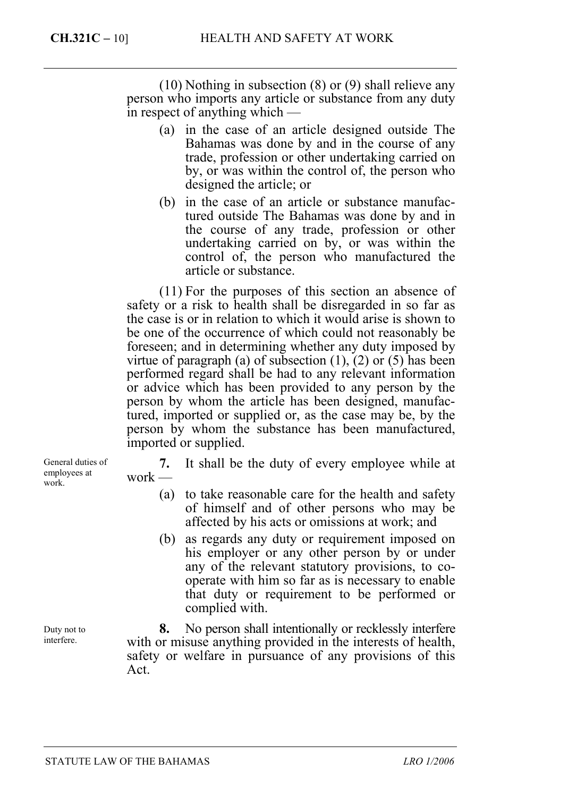(10) Nothing in subsection (8) or (9) shall relieve any person who imports any article or substance from any duty in respect of anything which —

- (a) in the case of an article designed outside The Bahamas was done by and in the course of any trade, profession or other undertaking carried on by, or was within the control of, the person who designed the article; or
- (b) in the case of an article or substance manufactured outside The Bahamas was done by and in the course of any trade, profession or other undertaking carried on by, or was within the control of, the person who manufactured the article or substance.

(11) For the purposes of this section an absence of safety or a risk to health shall be disregarded in so far as the case is or in relation to which it would arise is shown to be one of the occurrence of which could not reasonably be foreseen; and in determining whether any duty imposed by virtue of paragraph (a) of subsection  $(1)$ ,  $(2)$  or  $(5)$  has been performed regard shall be had to any relevant information or advice which has been provided to any person by the person by whom the article has been designed, manufactured, imported or supplied or, as the case may be, by the person by whom the substance has been manufactured, imported or supplied.

**7.** It shall be the duty of every employee while at work —

- (a) to take reasonable care for the health and safety of himself and of other persons who may be affected by his acts or omissions at work; and
- (b) as regards any duty or requirement imposed on his employer or any other person by or under any of the relevant statutory provisions, to cooperate with him so far as is necessary to enable that duty or requirement to be performed or complied with.

**8.** No person shall intentionally or recklessly interfere with or misuse anything provided in the interests of health, safety or welfare in pursuance of any provisions of this Act.

General duties of employees at work.

Duty not to interfere.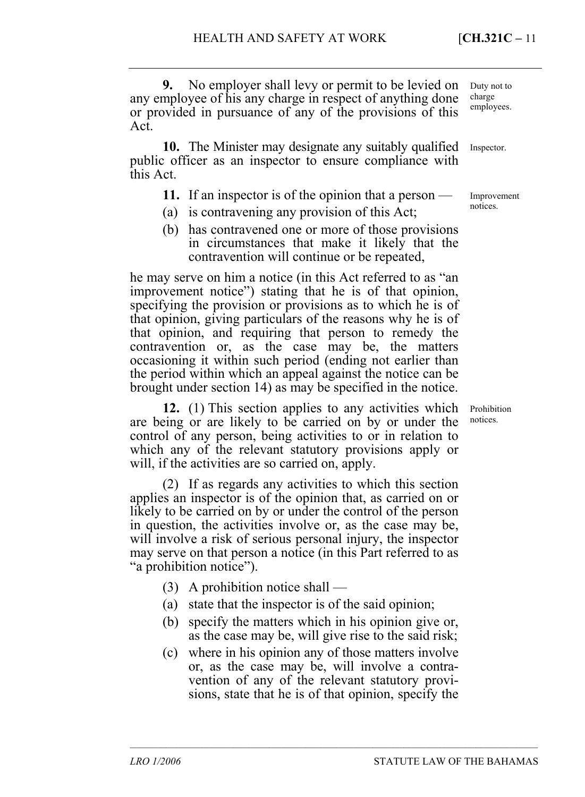**9.** No employer shall levy or permit to be levied on any employee of his any charge in respect of anything done or provided in pursuance of any of the provisions of this Act.

**10.** The Minister may designate any suitably qualified public officer as an inspector to ensure compliance with this Act.

- **11.** If an inspector is of the opinion that a person —
- (a) is contravening any provision of this Act;
- (b) has contravened one or more of those provisions in circumstances that make it likely that the contravention will continue or be repeated,

he may serve on him a notice (in this Act referred to as "an improvement notice") stating that he is of that opinion, specifying the provision or provisions as to which he is of that opinion, giving particulars of the reasons why he is of that opinion, and requiring that person to remedy the contravention or, as the case may be, the matters occasioning it within such period (ending not earlier than the period within which an appeal against the notice can be brought under section 14) as may be specified in the notice.

**12.** (1) This section applies to any activities which are being or are likely to be carried on by or under the control of any person, being activities to or in relation to which any of the relevant statutory provisions apply or will, if the activities are so carried on, apply.

(2) If as regards any activities to which this section applies an inspector is of the opinion that, as carried on or likely to be carried on by or under the control of the person in question, the activities involve or, as the case may be, will involve a risk of serious personal injury, the inspector may serve on that person a notice (in this Part referred to as "a prohibition notice").

- (3) A prohibition notice shall —
- (a) state that the inspector is of the said opinion;
- (b) specify the matters which in his opinion give or, as the case may be, will give rise to the said risk;
- (c) where in his opinion any of those matters involve or, as the case may be, will involve a contravention of any of the relevant statutory provisions, state that he is of that opinion, specify the

–––––––––––––––––––––––––––––––––––––––––––––––––––––––––––––––––––––––––––––––

Duty not to charge employees.

Inspector.

Improvement notices.

Prohibition notices.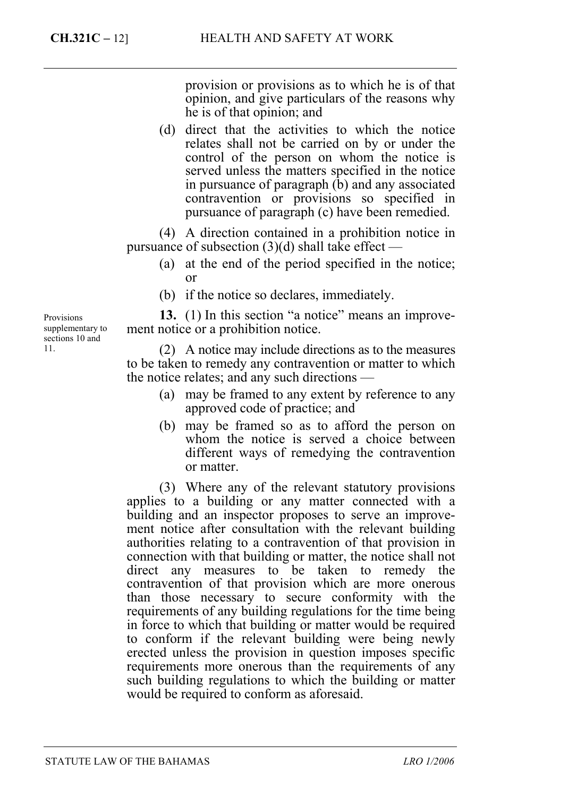provision or provisions as to which he is of that opinion, and give particulars of the reasons why he is of that opinion; and

(d) direct that the activities to which the notice relates shall not be carried on by or under the control of the person on whom the notice is served unless the matters specified in the notice in pursuance of paragraph (b) and any associated contravention or provisions so specified in pursuance of paragraph (c) have been remedied.

(4) A direction contained in a prohibition notice in pursuance of subsection  $(3)(d)$  shall take effect —

- (a) at the end of the period specified in the notice; or
- (b) if the notice so declares, immediately.

**13.** (1) In this section "a notice" means an improvement notice or a prohibition notice.

(2) A notice may include directions as to the measures to be taken to remedy any contravention or matter to which the notice relates; and any such directions —

- (a) may be framed to any extent by reference to any approved code of practice; and
- (b) may be framed so as to afford the person on whom the notice is served a choice between different ways of remedying the contravention or matter.

(3) Where any of the relevant statutory provisions applies to a building or any matter connected with a building and an inspector proposes to serve an improvement notice after consultation with the relevant building authorities relating to a contravention of that provision in connection with that building or matter, the notice shall not direct any measures to be taken to remedy the contravention of that provision which are more onerous than those necessary to secure conformity with the requirements of any building regulations for the time being in force to which that building or matter would be required to conform if the relevant building were being newly erected unless the provision in question imposes specific requirements more onerous than the requirements of any such building regulations to which the building or matter would be required to conform as aforesaid.

Provisions supplementary to sections 10 and 11.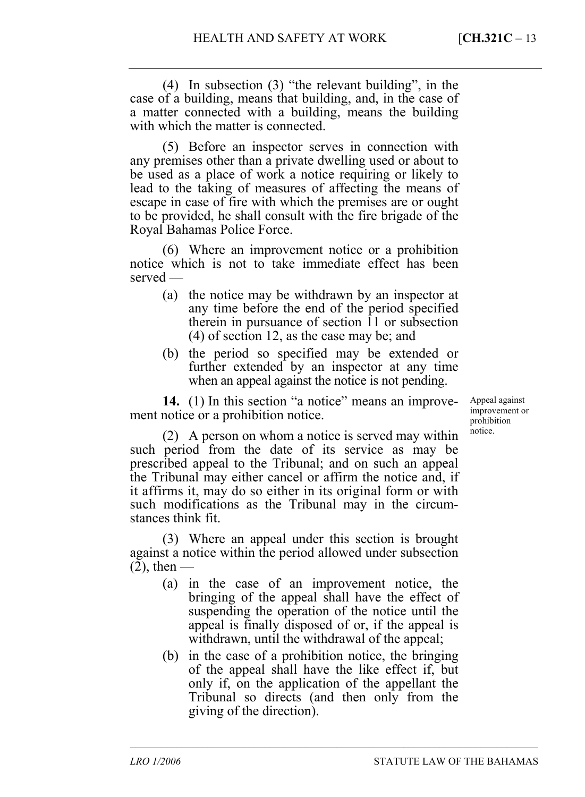(4) In subsection (3) "the relevant building", in the case of a building, means that building, and, in the case of a matter connected with a building, means the building with which the matter is connected.

(5) Before an inspector serves in connection with any premises other than a private dwelling used or about to be used as a place of work a notice requiring or likely to lead to the taking of measures of affecting the means of escape in case of fire with which the premises are or ought to be provided, he shall consult with the fire brigade of the Royal Bahamas Police Force.

(6) Where an improvement notice or a prohibition notice which is not to take immediate effect has been served —

- (a) the notice may be withdrawn by an inspector at any time before the end of the period specified therein in pursuance of section 11 or subsection (4) of section 12, as the case may be; and
- (b) the period so specified may be extended or further extended by an inspector at any time when an appeal against the notice is not pending.

**14.** (1) In this section "a notice" means an improvement notice or a prohibition notice.

Appeal against improvement or prohibition notice.

(2) A person on whom a notice is served may within such period from the date of its service as may be prescribed appeal to the Tribunal; and on such an appeal the Tribunal may either cancel or affirm the notice and, if it affirms it, may do so either in its original form or with such modifications as the Tribunal may in the circumstances think fit.

(3) Where an appeal under this section is brought against a notice within the period allowed under subsection  $(2)$ , then —

- (a) in the case of an improvement notice, the bringing of the appeal shall have the effect of suspending the operation of the notice until the appeal is finally disposed of or, if the appeal is withdrawn, until the withdrawal of the appeal;
- (b) in the case of a prohibition notice, the bringing of the appeal shall have the like effect if, but only if, on the application of the appellant the Tribunal so directs (and then only from the giving of the direction).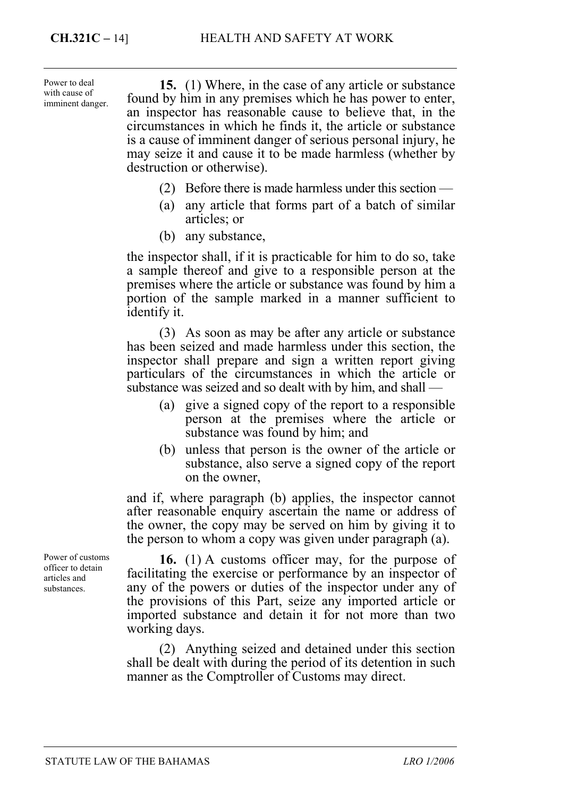Power to deal with cause of imminent danger.

**15.** (1) Where, in the case of any article or substance found by him in any premises which he has power to enter, an inspector has reasonable cause to believe that, in the circumstances in which he finds it, the article or substance is a cause of imminent danger of serious personal injury, he may seize it and cause it to be made harmless (whether by destruction or otherwise).

- (2) Before there is made harmless under this section —
- (a) any article that forms part of a batch of similar articles; or
- (b) any substance,

the inspector shall, if it is practicable for him to do so, take a sample thereof and give to a responsible person at the premises where the article or substance was found by him a portion of the sample marked in a manner sufficient to identify it.

(3) As soon as may be after any article or substance has been seized and made harmless under this section, the inspector shall prepare and sign a written report giving particulars of the circumstances in which the article or substance was seized and so dealt with by him, and shall —

- (a) give a signed copy of the report to a responsible person at the premises where the article or substance was found by him; and
- (b) unless that person is the owner of the article or substance, also serve a signed copy of the report on the owner,

and if, where paragraph (b) applies, the inspector cannot after reasonable enquiry ascertain the name or address of the owner, the copy may be served on him by giving it to the person to whom a copy was given under paragraph (a).

Power of customs officer to detain articles and substances.

**16.** (1) A customs officer may, for the purpose of facilitating the exercise or performance by an inspector of any of the powers or duties of the inspector under any of the provisions of this Part, seize any imported article or imported substance and detain it for not more than two working days.

(2) Anything seized and detained under this section shall be dealt with during the period of its detention in such manner as the Comptroller of Customs may direct.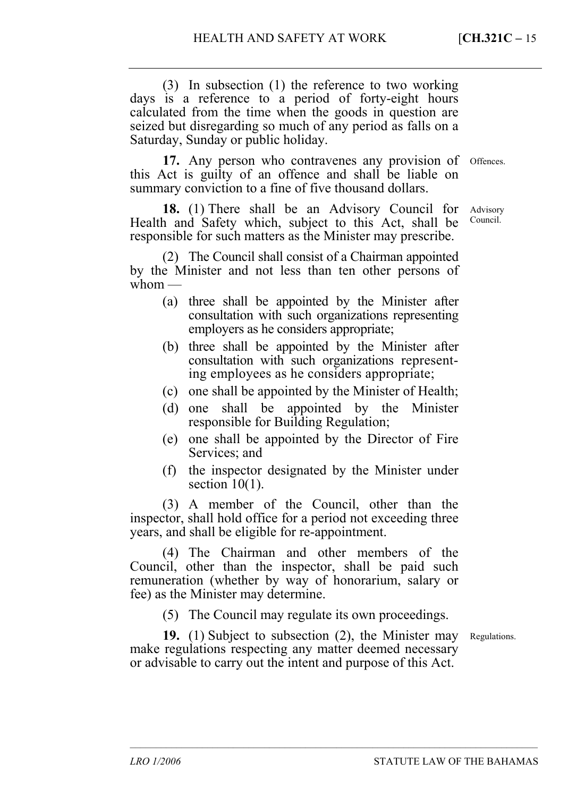(3) In subsection (1) the reference to two working days is a reference to a period of forty-eight hours calculated from the time when the goods in question are seized but disregarding so much of any period as falls on a Saturday, Sunday or public holiday.

17. Any person who contravenes any provision of offences. this Act is guilty of an offence and shall be liable on summary conviction to a fine of five thousand dollars.

**18.** (1) There shall be an Advisory Council for Health and Safety which, subject to this Act, shall be responsible for such matters as the Minister may prescribe. Council.

(2) The Council shall consist of a Chairman appointed by the Minister and not less than ten other persons of whom  $-$ 

- (a) three shall be appointed by the Minister after consultation with such organizations representing employers as he considers appropriate;
- (b) three shall be appointed by the Minister after consultation with such organizations representing employees as he considers appropriate;
- (c) one shall be appointed by the Minister of Health;
- (d) one shall be appointed by the Minister responsible for Building Regulation;
- (e) one shall be appointed by the Director of Fire Services; and
- (f) the inspector designated by the Minister under section  $10(1)$ .

(3) A member of the Council, other than the inspector, shall hold office for a period not exceeding three years, and shall be eligible for re-appointment.

(4) The Chairman and other members of the Council, other than the inspector, shall be paid such remuneration (whether by way of honorarium, salary or fee) as the Minister may determine.

(5) The Council may regulate its own proceedings.

19. (1) Subject to subsection (2), the Minister may Regulations. make regulations respecting any matter deemed necessary or advisable to carry out the intent and purpose of this Act.

–––––––––––––––––––––––––––––––––––––––––––––––––––––––––––––––––––––––––––––––

Advisory